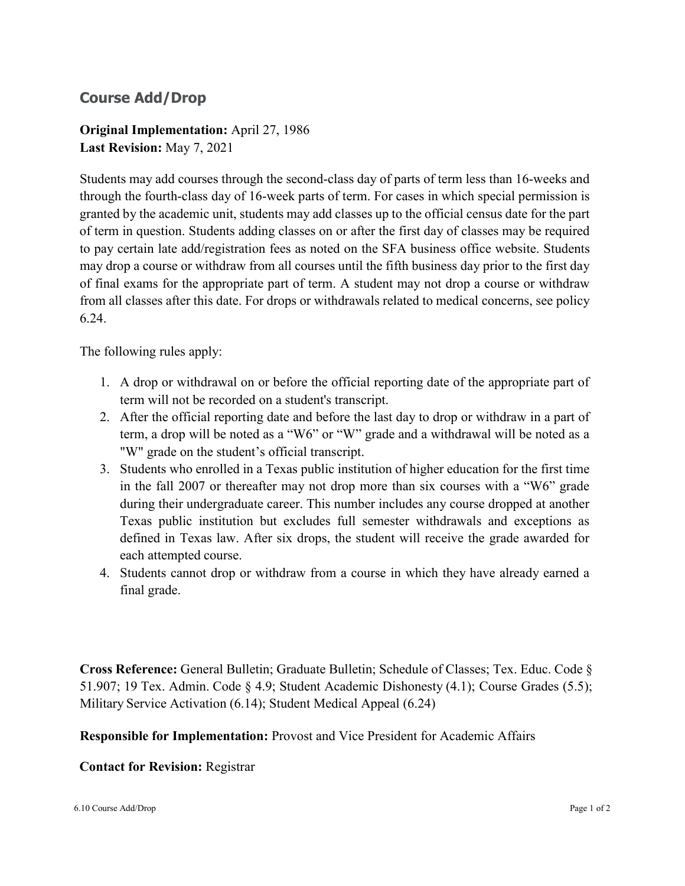## **Course Add/Drop**

## **Original Implementation:** April 27, 1986 **Last Revision:** May 7, 2021

Students may add courses through the second-class day of parts of term less than 16-weeks and through the fourth-class day of 16-week parts of term. For cases in which special permission is granted by the academic unit, students may add classes up to the official census date for the part of term in question. Students adding classes on or after the first day of classes may be required to pay certain late add/registration fees as noted on the SFA business office website. Students may drop a course or withdraw from all courses until the fifth business day prior to the first day of final exams for the appropriate part of term. A student may not drop a course or withdraw from all classes after this date. For drops or withdrawals related to medical concerns, see policy 6.24.

The following rules apply:

- 1. A drop or withdrawal on or before the official reporting date of the appropriate part of term will not be recorded on a student's transcript.
- 2. After the official reporting date and before the last day to drop or withdraw in a part of term, a drop will be noted as a "W6" or "W" grade and a withdrawal will be noted as a "W" grade on the student's official transcript.
- 3. Students who enrolled in a Texas public institution of higher education for the first time in the fall 2007 or thereafter may not drop more than six courses with a "W6" grade during their undergraduate career. This number includes any course dropped at another Texas public institution but excludes full semester withdrawals and exceptions as defined in Texas law. After six drops, the student will receive the grade awarded for each attempted course.
- 4. Students cannot drop or withdraw from a course in which they have already earned a final grade.

**Cross Reference:** General Bulletin; Graduate Bulletin; Schedule of Classes; Tex. Educ. Code § 51.907; 19 Tex. Admin. Code § 4.9; Student Academic Dishonesty (4.1); Course Grades (5.5); Military Service Activation (6.14); Student Medical Appeal (6.24)

**Responsible for Implementation:** Provost and Vice President for Academic Affairs

**Contact for Revision:** Registrar